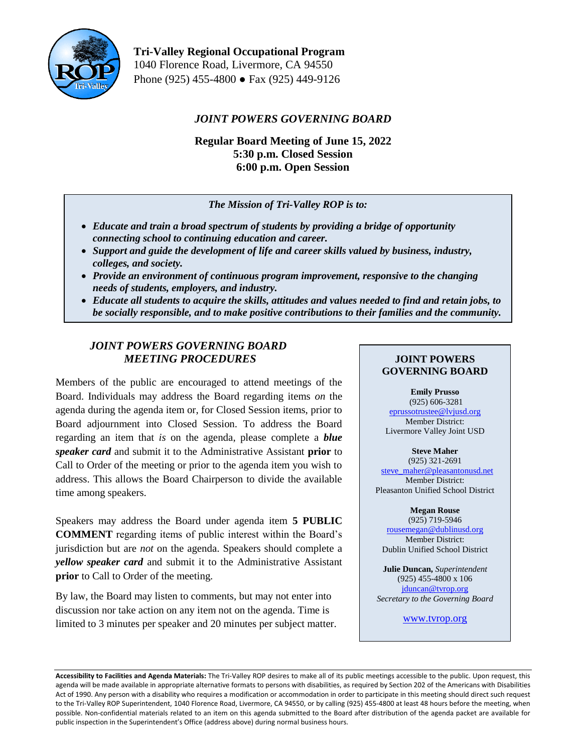

**Tri-Valley Regional Occupational Program** 1040 Florence Road, Livermore, CA 94550 Phone (925) 455-4800 ● Fax (925) 449-9126

# *JOINT POWERS GOVERNING BOARD*

**Regular Board Meeting of June 15, 2022 5:30 p.m. Closed Session 6:00 p.m. Open Session**

## *The Mission of Tri-Valley ROP is to:*

- *Educate and train a broad spectrum of students by providing a bridge of opportunity connecting school to continuing education and career.*
- *Support and guide the development of life and career skills valued by business, industry, colleges, and society.*
- *Provide an environment of continuous program improvement, responsive to the changing needs of students, employers, and industry.*
- *Educate all students to acquire the skills, attitudes and values needed to find and retain jobs, to be socially responsible, and to make positive contributions to their families and the community.*

# *JOINT POWERS GOVERNING BOARD MEETING PROCEDURES*

Members of the public are encouraged to attend meetings of the Board. Individuals may address the Board regarding items *on* the agenda during the agenda item or, for Closed Session items, prior to Board adjournment into Closed Session. To address the Board regarding an item that *is* on the agenda, please complete a *blue speaker card* and submit it to the Administrative Assistant **prior** to Call to Order of the meeting or prior to the agenda item you wish to address. This allows the Board Chairperson to divide the available time among speakers.

Speakers may address the Board under agenda item **5 PUBLIC COMMENT** regarding items of public interest within the Board's jurisdiction but are *not* on the agenda. Speakers should complete a *yellow speaker card* and submit it to the Administrative Assistant **prior** to Call to Order of the meeting.

By law, the Board may listen to comments, but may not enter into discussion nor take action on any item not on the agenda. Time is limited to 3 minutes per speaker and 20 minutes per subject matter.

## **JOINT POWERS GOVERNING BOARD**

**Emily Prusso**

(925) 606-3281 [eprussotrustee@lvjusd.org](mailto:eprussotrustee@lvjusd.org) Member District: Livermore Valley Joint USD

**Steve Maher** (925) 321-2691 [steve\\_maher@pleasantonusd.net](mailto:steve_maher@pleasantonusd.net) Member District: Pleasanton Unified School District

#### **Megan Rouse**

(925) 719-5946 [rousemegan@dublinusd.org](mailto:rousemegan@dublinusd.org) Member District: Dublin Unified School District

**Julie Duncan,** *Superintendent* (925) 455-4800 x 106 jduncan@tvrop.org *Secretary to the Governing Board*

[www.tvrop.org](http://www.tvrop.org/)

**Accessibility to Facilities and Agenda Materials:** The Tri-Valley ROP desires to make all of its public meetings accessible to the public. Upon request, this agenda will be made available in appropriate alternative formats to persons with disabilities, as required by Section 202 of the Americans with Disabilities Act of 1990. Any person with a disability who requires a modification or accommodation in order to participate in this meeting should direct such request to the Tri-Valley ROP Superintendent, 1040 Florence Road, Livermore, CA 94550, or by calling (925) 455-4800 at least 48 hours before the meeting, when possible. Non-confidential materials related to an item on this agenda submitted to the Board after distribution of the agenda packet are available for public inspection in the Superintendent's Office (address above) during normal business hours.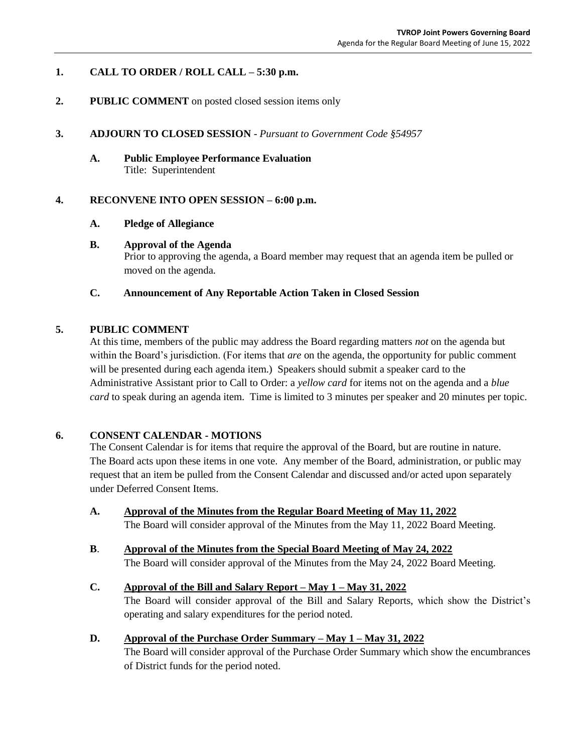## **1. CALL TO ORDER / ROLL CALL – 5:30 p.m.**

#### **2. PUBLIC COMMENT** on posted closed session items only

#### **3. ADJOURN TO CLOSED SESSION** - *Pursuant to Government Code §54957*

**A. Public Employee Performance Evaluation**  Title: Superintendent

#### **4. RECONVENE INTO OPEN SESSION – 6:00 p.m.**

#### **A. Pledge of Allegiance**

#### **B. Approval of the Agenda**

Prior to approving the agenda, a Board member may request that an agenda item be pulled or moved on the agenda.

#### **C. Announcement of Any Reportable Action Taken in Closed Session**

#### **5. PUBLIC COMMENT**

At this time, members of the public may address the Board regarding matters *not* on the agenda but within the Board's jurisdiction. (For items that *are* on the agenda, the opportunity for public comment will be presented during each agenda item.) Speakers should submit a speaker card to the Administrative Assistant prior to Call to Order: a *yellow card* for items not on the agenda and a *blue card* to speak during an agenda item. Time is limited to 3 minutes per speaker and 20 minutes per topic.

#### **6. CONSENT CALENDAR - MOTIONS**

The Consent Calendar is for items that require the approval of the Board, but are routine in nature. The Board acts upon these items in one vote. Any member of the Board, administration, or public may request that an item be pulled from the Consent Calendar and discussed and/or acted upon separately under Deferred Consent Items.

- **A. Approval of the Minutes from the Regular Board Meeting of May 11, 2022** The Board will consider approval of the Minutes from the May 11, 2022 Board Meeting.
- **B**. **Approval of the Minutes from the Special Board Meeting of May 24, 2022** The Board will consider approval of the Minutes from the May 24, 2022 Board Meeting.

# **C. Approval of the Bill and Salary Report – May 1 – May 31, 2022**

The Board will consider approval of the Bill and Salary Reports, which show the District's operating and salary expenditures for the period noted.

#### **D. Approval of the Purchase Order Summary – May 1 – May 31, 2022**

The Board will consider approval of the Purchase Order Summary which show the encumbrances of District funds for the period noted.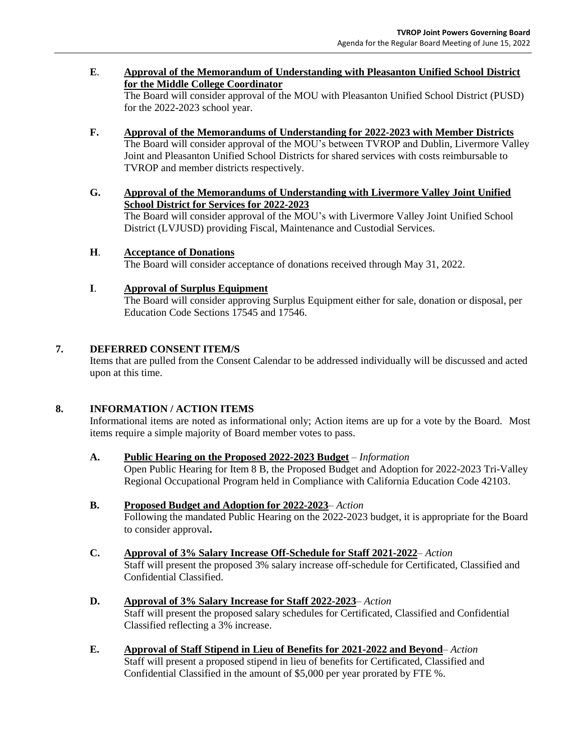#### **E**. **Approval of the Memorandum of Understanding with Pleasanton Unified School District for the Middle College Coordinator**

The Board will consider approval of the MOU with Pleasanton Unified School District (PUSD) for the 2022-2023 school year.

- **F. Approval of the Memorandums of Understanding for 2022-2023 with Member Districts**  The Board will consider approval of the MOU's between TVROP and Dublin, Livermore Valley Joint and Pleasanton Unified School Districts for shared services with costs reimbursable to TVROP and member districts respectively.
- **G. Approval of the Memorandums of Understanding with Livermore Valley Joint Unified School District for Services for 2022-2023**

The Board will consider approval of the MOU's with Livermore Valley Joint Unified School District (LVJUSD) providing Fiscal, Maintenance and Custodial Services.

## **H**. **Acceptance of Donations**

The Board will consider acceptance of donations received through May 31, 2022.

## **I**. **Approval of Surplus Equipment**

The Board will consider approving Surplus Equipment either for sale, donation or disposal, per Education Code Sections 17545 and 17546.

## **7. DEFERRED CONSENT ITEM/S**

Items that are pulled from the Consent Calendar to be addressed individually will be discussed and acted upon at this time.

#### **8. INFORMATION / ACTION ITEMS**

Informational items are noted as informational only; Action items are up for a vote by the Board. Most items require a simple majority of Board member votes to pass.

#### **A. Public Hearing on the Proposed 2022-2023 Budget** – *Information*

Open Public Hearing for Item 8 B, the Proposed Budget and Adoption for 2022-2023 Tri-Valley Regional Occupational Program held in Compliance with California Education Code 42103.

#### **B. Proposed Budget and Adoption for 2022-2023**– *Action*

Following the mandated Public Hearing on the 2022-2023 budget, it is appropriate for the Board to consider approval**.** 

**C. Approval of 3% Salary Increase Off-Schedule for Staff 2021-2022**– *Action* Staff will present the proposed 3% salary increase off-schedule for Certificated, Classified and Confidential Classified.

#### **D. Approval of 3% Salary Increase for Staff 2022-2023**– *Action*

Staff will present the proposed salary schedules for Certificated, Classified and Confidential Classified reflecting a 3% increase.

**E. Approval of Staff Stipend in Lieu of Benefits for 2021-2022 and Beyond**– *Action* Staff will present a proposed stipend in lieu of benefits for Certificated, Classified and Confidential Classified in the amount of \$5,000 per year prorated by FTE %.